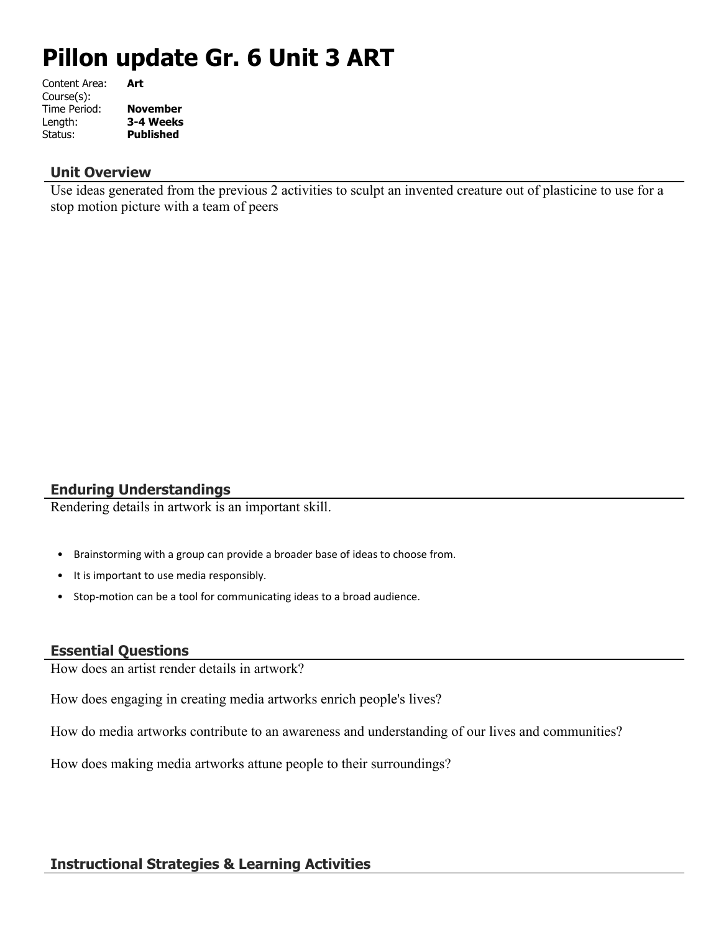# **Pillon update Gr. 6 Unit 3 ART**

| Content Area: | Art              |
|---------------|------------------|
| Course(s):    |                  |
| Time Period:  | <b>November</b>  |
| Length:       | 3-4 Weeks        |
| Status:       | <b>Published</b> |
|               |                  |

#### **Unit Overview**

Use ideas generated from the previous 2 activities to sculpt an invented creature out of plasticine to use for a stop motion picture with a team of peers

# **Enduring Understandings**

Rendering details in artwork is an important skill.

- Brainstorming with a group can provide a broader base of ideas to choose from. **.**
- It is important to use media responsibly. **.**
- Stop-motion can be a tool for communicating ideas to a broad audience. **.**

#### **Essential Questions**

How does an artist render details in artwork?

How does engaging in creating media artworks enrich people's lives?

How do media artworks contribute to an awareness and understanding of our lives and communities?

How does making media artworks attune people to their surroundings?

## **Instructional Strategies & Learning Activities**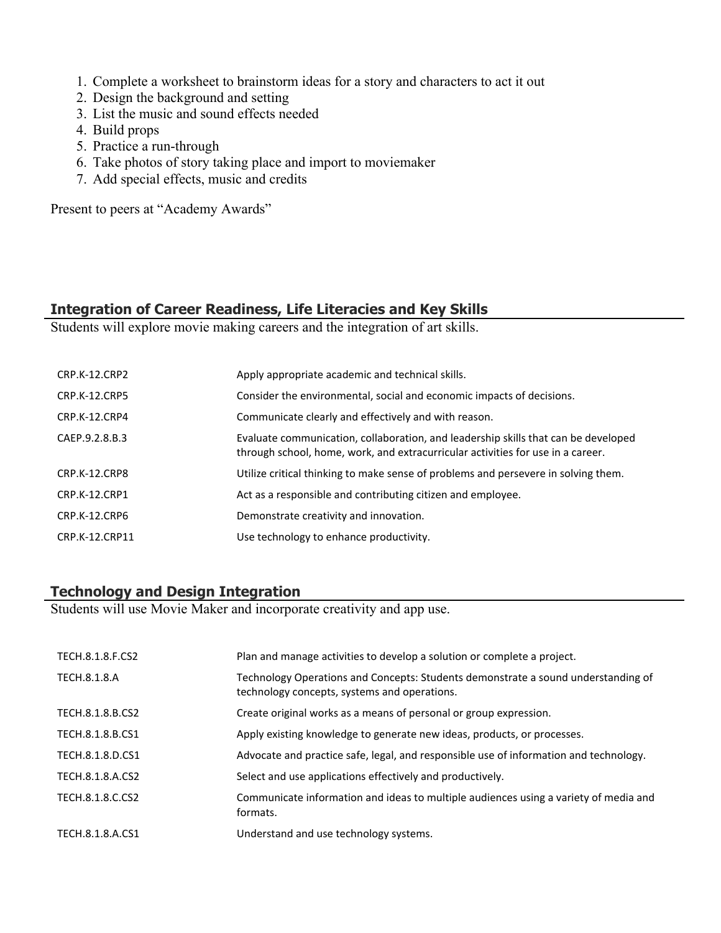- 1. Complete a worksheet to brainstorm ideas for a story and characters to act it out
- 2. Design the background and setting
- 3. List the music and sound effects needed
- 4. Build props
- 5. Practice a run-through
- 6. Take photos of story taking place and import to moviemaker
- 7. Add special effects, music and credits

Present to peers at "Academy Awards"

#### **Integration of Career Readiness, Life Literacies and Key Skills**

Students will explore movie making careers and the integration of art skills.

| <b>CRP.K-12.CRP2</b> | Apply appropriate academic and technical skills.                                                                                                                      |
|----------------------|-----------------------------------------------------------------------------------------------------------------------------------------------------------------------|
| <b>CRP.K-12.CRP5</b> | Consider the environmental, social and economic impacts of decisions.                                                                                                 |
| CRP.K-12.CRP4        | Communicate clearly and effectively and with reason.                                                                                                                  |
| CAEP.9.2.8.B.3       | Evaluate communication, collaboration, and leadership skills that can be developed<br>through school, home, work, and extracurricular activities for use in a career. |
| CRP.K-12.CRP8        | Utilize critical thinking to make sense of problems and persevere in solving them.                                                                                    |
| CRP.K-12.CRP1        | Act as a responsible and contributing citizen and employee.                                                                                                           |
| CRP.K-12.CRP6        | Demonstrate creativity and innovation.                                                                                                                                |
| CRP.K-12.CRP11       | Use technology to enhance productivity.                                                                                                                               |

## **Technology and Design Integration**

Students will use Movie Maker and incorporate creativity and app use.

| TECH.8.1.8.F.CS2 | Plan and manage activities to develop a solution or complete a project.                                                           |
|------------------|-----------------------------------------------------------------------------------------------------------------------------------|
| TECH.8.1.8.A     | Technology Operations and Concepts: Students demonstrate a sound understanding of<br>technology concepts, systems and operations. |
| TECH.8.1.8.B.CS2 | Create original works as a means of personal or group expression.                                                                 |
| TECH.8.1.8.B.CS1 | Apply existing knowledge to generate new ideas, products, or processes.                                                           |
| TECH.8.1.8.D.CS1 | Advocate and practice safe, legal, and responsible use of information and technology.                                             |
| TECH.8.1.8.A.CS2 | Select and use applications effectively and productively.                                                                         |
| TECH.8.1.8.C.CS2 | Communicate information and ideas to multiple audiences using a variety of media and<br>formats.                                  |
| TECH.8.1.8.A.CS1 | Understand and use technology systems.                                                                                            |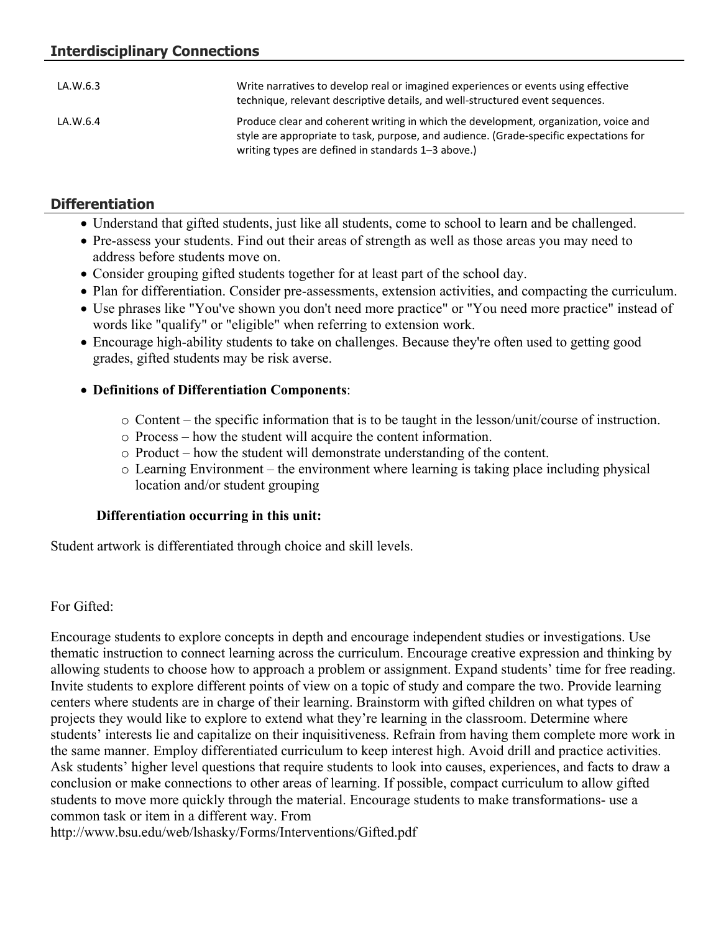| LA.W.6.3 | Write narratives to develop real or imagined experiences or events using effective<br>technique, relevant descriptive details, and well-structured event sequences.                                                                  |
|----------|--------------------------------------------------------------------------------------------------------------------------------------------------------------------------------------------------------------------------------------|
| LA.W.6.4 | Produce clear and coherent writing in which the development, organization, voice and<br>style are appropriate to task, purpose, and audience. (Grade-specific expectations for<br>writing types are defined in standards 1-3 above.) |

# **Differentiation**

- Understand that gifted students, just like all students, come to school to learn and be challenged.
- Pre-assess your students. Find out their areas of strength as well as those areas you may need to address before students move on.
- Consider grouping gifted students together for at least part of the school day.
- Plan for differentiation. Consider pre-assessments, extension activities, and compacting the curriculum.
- Use phrases like "You've shown you don't need more practice" or "You need more practice" instead of words like "qualify" or "eligible" when referring to extension work.
- Encourage high-ability students to take on challenges. Because they're often used to getting good grades, gifted students may be risk averse.

## **Definitions of Differentiation Components**:

- o Content the specific information that is to be taught in the lesson/unit/course of instruction.
- o Process how the student will acquire the content information.
- o Product how the student will demonstrate understanding of the content.
- o Learning Environment the environment where learning is taking place including physical location and/or student grouping

# **Differentiation occurring in this unit:**

Student artwork is differentiated through choice and skill levels.

# For Gifted:

Encourage students to explore concepts in depth and encourage independent studies or investigations. Use thematic instruction to connect learning across the curriculum. Encourage creative expression and thinking by allowing students to choose how to approach a problem or assignment. Expand students' time for free reading. Invite students to explore different points of view on a topic of study and compare the two. Provide learning centers where students are in charge of their learning. Brainstorm with gifted children on what types of projects they would like to explore to extend what they're learning in the classroom. Determine where students' interests lie and capitalize on their inquisitiveness. Refrain from having them complete more work in the same manner. Employ differentiated curriculum to keep interest high. Avoid drill and practice activities. Ask students' higher level questions that require students to look into causes, experiences, and facts to draw a conclusion or make connections to other areas of learning. If possible, compact curriculum to allow gifted students to move more quickly through the material. Encourage students to make transformations- use a common task or item in a different way. From

http://www.bsu.edu/web/lshasky/Forms/Interventions/Gifted.pdf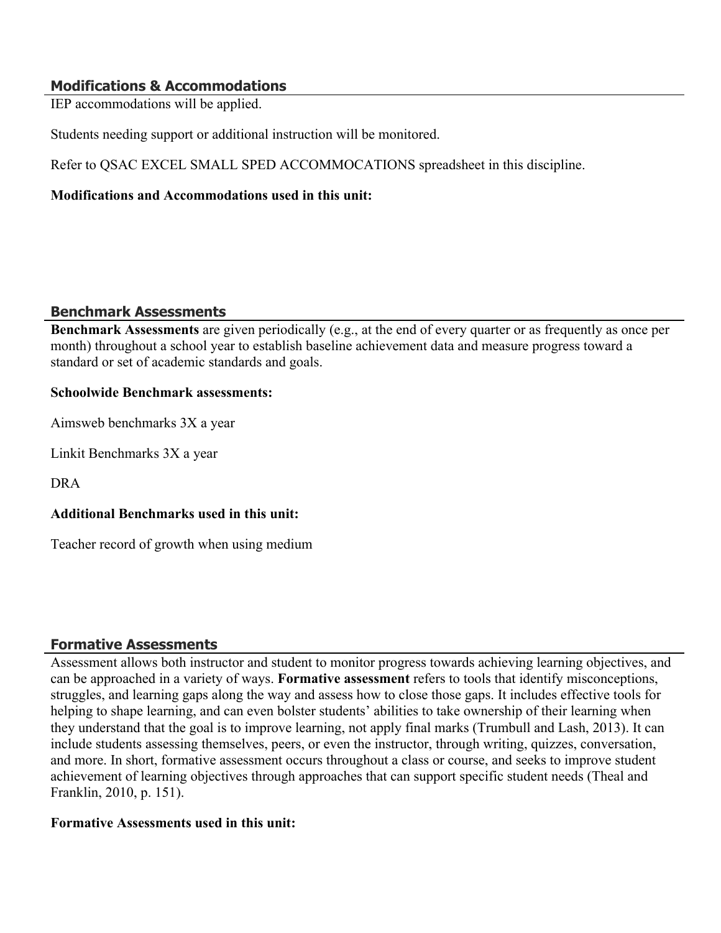## **Modifications & Accommodations**

IEP accommodations will be applied.

Students needing support or additional instruction will be monitored.

Refer to QSAC EXCEL SMALL SPED ACCOMMOCATIONS spreadsheet in this discipline.

## **Modifications and Accommodations used in this unit:**

#### **Benchmark Assessments**

**Benchmark Assessments** are given periodically (e.g., at the end of every quarter or as frequently as once per month) throughout a school year to establish baseline achievement data and measure progress toward a standard or set of academic standards and goals.

#### **Schoolwide Benchmark assessments:**

Aimsweb benchmarks 3X a year

Linkit Benchmarks 3X a year

DRA

## **Additional Benchmarks used in this unit:**

Teacher record of growth when using medium

## **Formative Assessments**

Assessment allows both instructor and student to monitor progress towards achieving learning objectives, and can be approached in a variety of ways. **Formative assessment** refers to tools that identify misconceptions, struggles, and learning gaps along the way and assess how to close those gaps. It includes effective tools for helping to shape learning, and can even bolster students' abilities to take ownership of their learning when they understand that the goal is to improve learning, not apply final marks (Trumbull and Lash, 2013). It can include students assessing themselves, peers, or even the instructor, through writing, quizzes, conversation, and more. In short, formative assessment occurs throughout a class or course, and seeks to improve student achievement of learning objectives through approaches that can support specific student needs (Theal and Franklin, 2010, p. 151).

#### **Formative Assessments used in this unit:**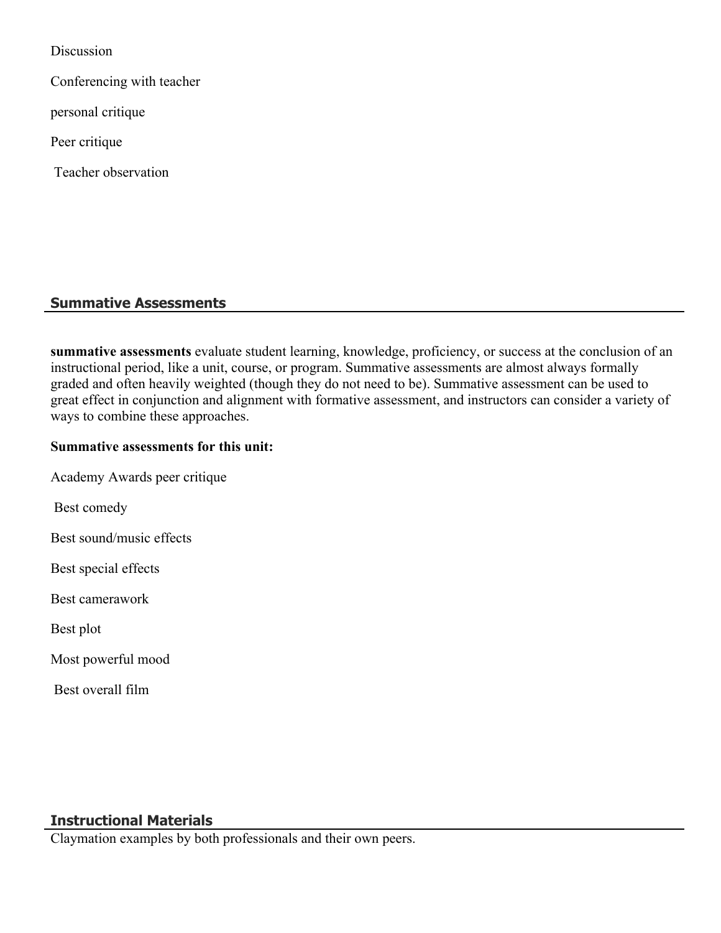Discussion

Conferencing with teacher

personal critique

Peer critique

Teacher observation

# **Summative Assessments**

**summative assessments** evaluate student learning, knowledge, proficiency, or success at the conclusion of an instructional period, like a unit, course, or program. Summative assessments are almost always formally graded and often heavily weighted (though they do not need to be). Summative assessment can be used to great effect in conjunction and alignment with formative assessment, and instructors can consider a variety of ways to combine these approaches.

## **Summative assessments for this unit:**

Academy Awards peer critique

Best comedy

Best sound/music effects

Best special effects

Best camerawork

Best plot

Most powerful mood

Best overall film

# **Instructional Materials**

Claymation examples by both professionals and their own peers.